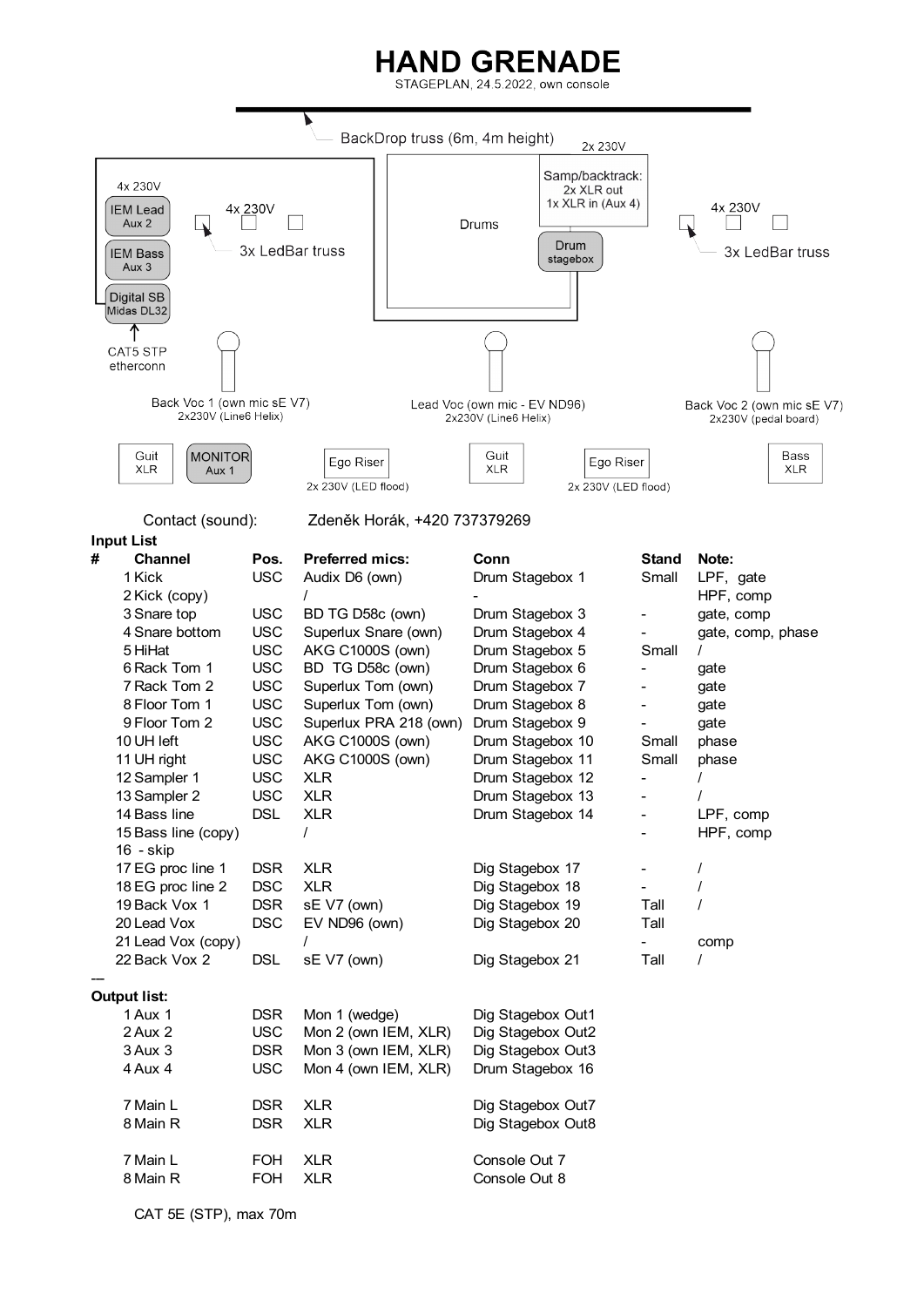## **HAND GRENADE**

STAGEPLAN, 24.5.2022, own console



CAT 5E (STP), max 70m